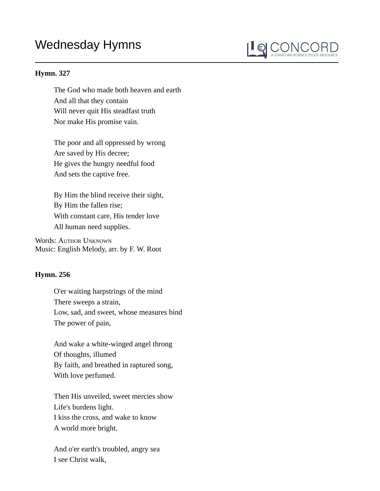## Wednesday Hymns



## **Hymn. 327**

The God who made both heaven and earth And all that they contain Will never quit His steadfast truth Nor make His promise vain.

The poor and all oppressed by wrong Are saved by His decree; He gives the hungry needful food And sets the captive free.

By Him the blind receive their sight, By Him the fallen rise; With constant care, His tender love All human need supplies.

Words: AUTHOR UNKNOWN Music: English Melody, arr. by F. W. Root

## **Hymn. 256**

O'er waiting harpstrings of the mind There sweeps a strain, Low, sad, and sweet, whose measures bind The power of pain,

And wake a white-winged angel throng Of thoughts, illumed By faith, and breathed in raptured song, With love perfumed.

Then His unveiled, sweet mercies show Life's burdens light. I kiss the cross, and wake to know A world more bright.

And o'er earth's troubled, angry sea I see Christ walk,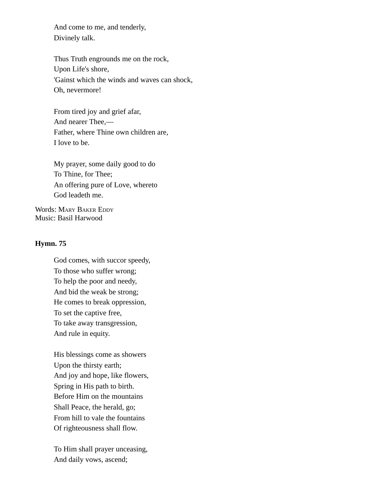And come to me, and tenderly, Divinely talk.

Thus Truth engrounds me on the rock, Upon Life's shore, 'Gainst which the winds and waves can shock, Oh, nevermore!

From tired joy and grief afar, And nearer Thee,— Father, where Thine own children are, I love to be.

My prayer, some daily good to do To Thine, for Thee; An offering pure of Love, whereto God leadeth me.

Words: MARY BAKER EDDY Music: Basil Harwood

## **Hymn. 75**

God comes, with succor speedy, To those who suffer wrong; To help the poor and needy, And bid the weak be strong; He comes to break oppression, To set the captive free, To take away transgression, And rule in equity.

His blessings come as showers Upon the thirsty earth; And joy and hope, like flowers, Spring in His path to birth. Before Him on the mountains Shall Peace, the herald, go; From hill to vale the fountains Of righteousness shall flow.

To Him shall prayer unceasing, And daily vows, ascend;